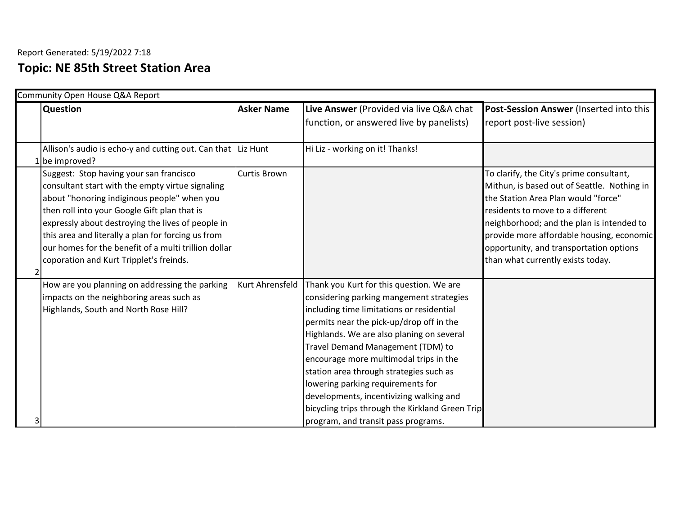## **Topic: NE 85th Street Station Area**

|   | Community Open House Q&A Report                                                                                                                                                                                                                                                                                                                                                                          |                   |                                                                                                                                                                                                                                                                                                                                                                                                                                                                                                                                |                                                                                                                                                                                                                                                                                                                                              |  |
|---|----------------------------------------------------------------------------------------------------------------------------------------------------------------------------------------------------------------------------------------------------------------------------------------------------------------------------------------------------------------------------------------------------------|-------------------|--------------------------------------------------------------------------------------------------------------------------------------------------------------------------------------------------------------------------------------------------------------------------------------------------------------------------------------------------------------------------------------------------------------------------------------------------------------------------------------------------------------------------------|----------------------------------------------------------------------------------------------------------------------------------------------------------------------------------------------------------------------------------------------------------------------------------------------------------------------------------------------|--|
|   | <b>Question</b>                                                                                                                                                                                                                                                                                                                                                                                          | <b>Asker Name</b> | Live Answer (Provided via live Q&A chat                                                                                                                                                                                                                                                                                                                                                                                                                                                                                        | Post-Session Answer (Inserted into this                                                                                                                                                                                                                                                                                                      |  |
|   |                                                                                                                                                                                                                                                                                                                                                                                                          |                   | function, or answered live by panelists)                                                                                                                                                                                                                                                                                                                                                                                                                                                                                       | report post-live session)                                                                                                                                                                                                                                                                                                                    |  |
|   | Allison's audio is echo-y and cutting out. Can that Liz Hunt<br>1 be improved?                                                                                                                                                                                                                                                                                                                           |                   | Hi Liz - working on it! Thanks!                                                                                                                                                                                                                                                                                                                                                                                                                                                                                                |                                                                                                                                                                                                                                                                                                                                              |  |
| 2 | Suggest: Stop having your san francisco<br>consultant start with the empty virtue signaling<br>about "honoring indiginous people" when you<br>then roll into your Google Gift plan that is<br>expressly about destroying the lives of people in<br>this area and literally a plan for forcing us from<br>our homes for the benefit of a multi trillion dollar<br>coporation and Kurt Tripplet's freinds. | Curtis Brown      |                                                                                                                                                                                                                                                                                                                                                                                                                                                                                                                                | To clarify, the City's prime consultant,<br>Mithun, is based out of Seattle. Nothing in<br>the Station Area Plan would "force"<br>residents to move to a different<br>neighborhood; and the plan is intended to<br>provide more affordable housing, economic<br>opportunity, and transportation options<br>than what currently exists today. |  |
| 3 | How are you planning on addressing the parking<br>impacts on the neighboring areas such as<br>Highlands, South and North Rose Hill?                                                                                                                                                                                                                                                                      | Kurt Ahrensfeld   | Thank you Kurt for this question. We are<br>considering parking mangement strategies<br>including time limitations or residential<br>permits near the pick-up/drop off in the<br>Highlands. We are also planing on several<br>Travel Demand Management (TDM) to<br>encourage more multimodal trips in the<br>station area through strategies such as<br>lowering parking requirements for<br>developments, incentivizing walking and<br>bicycling trips through the Kirkland Green Trip<br>program, and transit pass programs. |                                                                                                                                                                                                                                                                                                                                              |  |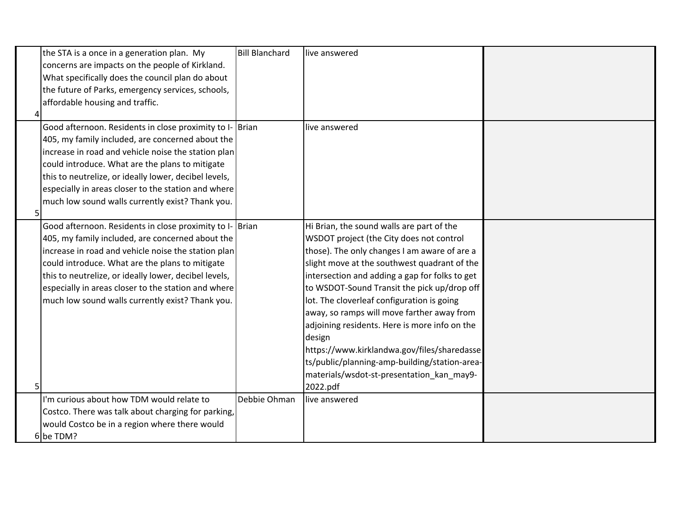|    | the STA is a once in a generation plan. My               | <b>Bill Blanchard</b> | live answered                                  |  |
|----|----------------------------------------------------------|-----------------------|------------------------------------------------|--|
|    | concerns are impacts on the people of Kirkland.          |                       |                                                |  |
|    | What specifically does the council plan do about         |                       |                                                |  |
|    | the future of Parks, emergency services, schools,        |                       |                                                |  |
|    | affordable housing and traffic.                          |                       |                                                |  |
|    |                                                          |                       |                                                |  |
|    | Good afternoon. Residents in close proximity to I- Brian |                       | live answered                                  |  |
|    | 405, my family included, are concerned about the         |                       |                                                |  |
|    | increase in road and vehicle noise the station plan      |                       |                                                |  |
|    | could introduce. What are the plans to mitigate          |                       |                                                |  |
|    | this to neutrelize, or ideally lower, decibel levels,    |                       |                                                |  |
|    | especially in areas closer to the station and where      |                       |                                                |  |
|    | much low sound walls currently exist? Thank you.         |                       |                                                |  |
| 51 |                                                          |                       |                                                |  |
|    | Good afternoon. Residents in close proximity to I- Brian |                       | Hi Brian, the sound walls are part of the      |  |
|    | 405, my family included, are concerned about the         |                       | WSDOT project (the City does not control       |  |
|    | increase in road and vehicle noise the station plan      |                       | those). The only changes I am aware of are a   |  |
|    | could introduce. What are the plans to mitigate          |                       | slight move at the southwest quadrant of the   |  |
|    | this to neutrelize, or ideally lower, decibel levels,    |                       | intersection and adding a gap for folks to get |  |
|    | especially in areas closer to the station and where      |                       | to WSDOT-Sound Transit the pick up/drop off    |  |
|    | much low sound walls currently exist? Thank you.         |                       | lot. The cloverleaf configuration is going     |  |
|    |                                                          |                       | away, so ramps will move farther away from     |  |
|    |                                                          |                       | adjoining residents. Here is more info on the  |  |
|    |                                                          |                       | design                                         |  |
|    |                                                          |                       | https://www.kirklandwa.gov/files/sharedasse    |  |
|    |                                                          |                       | ts/public/planning-amp-building/station-area-  |  |
|    |                                                          |                       | materials/wsdot-st-presentation_kan_may9-      |  |
| 5  |                                                          |                       | 2022.pdf                                       |  |
|    | I'm curious about how TDM would relate to                | Debbie Ohman          | live answered                                  |  |
|    | Costco. There was talk about charging for parking,       |                       |                                                |  |
|    | would Costco be in a region where there would            |                       |                                                |  |
|    | 6 be TDM?                                                |                       |                                                |  |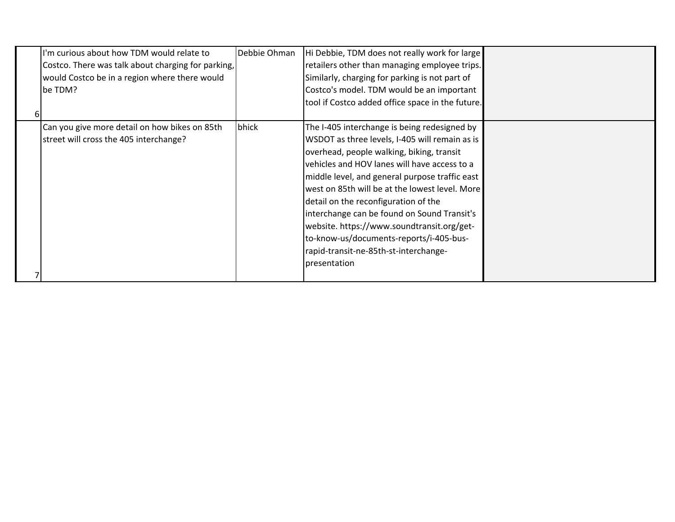| I'm curious about how TDM would relate to<br>Costco. There was talk about charging for parking,<br>would Costco be in a region where there would<br>be TDM? | Debbie Ohman | Hi Debbie, TDM does not really work for large<br>retailers other than managing employee trips.<br>Similarly, charging for parking is not part of<br>Costco's model. TDM would be an important<br>tool if Costco added office space in the future.                                                                                                                                                                                                                                                                                        |  |
|-------------------------------------------------------------------------------------------------------------------------------------------------------------|--------------|------------------------------------------------------------------------------------------------------------------------------------------------------------------------------------------------------------------------------------------------------------------------------------------------------------------------------------------------------------------------------------------------------------------------------------------------------------------------------------------------------------------------------------------|--|
| Can you give more detail on how bikes on 85th<br>street will cross the 405 interchange?                                                                     | bhick        | The I-405 interchange is being redesigned by<br>WSDOT as three levels, I-405 will remain as is<br>overhead, people walking, biking, transit<br>vehicles and HOV lanes will have access to a<br>middle level, and general purpose traffic east<br>west on 85th will be at the lowest level. More<br>detail on the reconfiguration of the<br>interchange can be found on Sound Transit's<br>website. https://www.soundtransit.org/get-<br>to-know-us/documents-reports/i-405-bus-<br>rapid-transit-ne-85th-st-interchange-<br>presentation |  |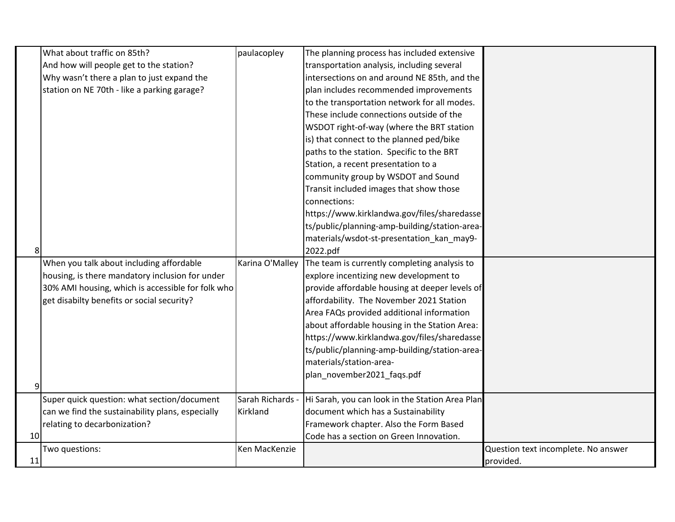|    | What about traffic on 85th?                       | paulacopley      | The planning process has included extensive     |                                     |
|----|---------------------------------------------------|------------------|-------------------------------------------------|-------------------------------------|
|    | And how will people get to the station?           |                  | transportation analysis, including several      |                                     |
|    | Why wasn't there a plan to just expand the        |                  | intersections on and around NE 85th, and the    |                                     |
|    | station on NE 70th - like a parking garage?       |                  | plan includes recommended improvements          |                                     |
|    |                                                   |                  | to the transportation network for all modes.    |                                     |
|    |                                                   |                  | These include connections outside of the        |                                     |
|    |                                                   |                  | WSDOT right-of-way (where the BRT station       |                                     |
|    |                                                   |                  | is) that connect to the planned ped/bike        |                                     |
|    |                                                   |                  | paths to the station. Specific to the BRT       |                                     |
|    |                                                   |                  | Station, a recent presentation to a             |                                     |
|    |                                                   |                  | community group by WSDOT and Sound              |                                     |
|    |                                                   |                  | Transit included images that show those         |                                     |
|    |                                                   |                  | connections:                                    |                                     |
|    |                                                   |                  | https://www.kirklandwa.gov/files/sharedasse     |                                     |
|    |                                                   |                  | ts/public/planning-amp-building/station-area-   |                                     |
|    |                                                   |                  | materials/wsdot-st-presentation_kan_may9-       |                                     |
| 8  |                                                   |                  | 2022.pdf                                        |                                     |
|    | When you talk about including affordable          | Karina O'Malley  | The team is currently completing analysis to    |                                     |
|    | housing, is there mandatory inclusion for under   |                  | explore incentizing new development to          |                                     |
|    | 30% AMI housing, which is accessible for folk who |                  | provide affordable housing at deeper levels of  |                                     |
|    | get disabilty benefits or social security?        |                  | affordability. The November 2021 Station        |                                     |
|    |                                                   |                  | Area FAQs provided additional information       |                                     |
|    |                                                   |                  | about affordable housing in the Station Area:   |                                     |
|    |                                                   |                  | https://www.kirklandwa.gov/files/sharedasse     |                                     |
|    |                                                   |                  | ts/public/planning-amp-building/station-area-   |                                     |
|    |                                                   |                  | materials/station-area-                         |                                     |
|    |                                                   |                  | plan_november2021_faqs.pdf                      |                                     |
| 9  |                                                   |                  |                                                 |                                     |
|    | Super quick question: what section/document       | Sarah Richards - | Hi Sarah, you can look in the Station Area Plan |                                     |
|    | can we find the sustainability plans, especially  | Kirkland         | document which has a Sustainability             |                                     |
|    | relating to decarbonization?                      |                  | Framework chapter. Also the Form Based          |                                     |
| 10 |                                                   |                  | Code has a section on Green Innovation.         |                                     |
|    | Two questions:                                    | Ken MacKenzie    |                                                 | Question text incomplete. No answer |
| 11 |                                                   |                  |                                                 | provided.                           |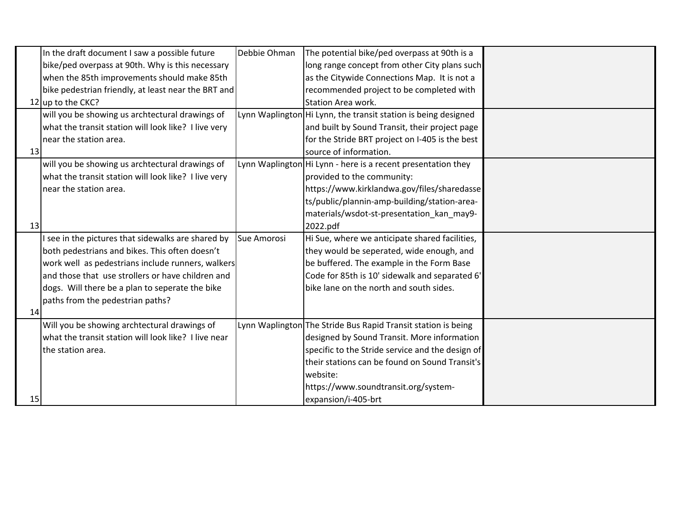|    | In the draft document I saw a possible future        | Debbie Ohman | The potential bike/ped overpass at 90th is a                   |  |
|----|------------------------------------------------------|--------------|----------------------------------------------------------------|--|
|    | bike/ped overpass at 90th. Why is this necessary     |              | long range concept from other City plans such                  |  |
|    | when the 85th improvements should make 85th          |              | as the Citywide Connections Map. It is not a                   |  |
|    | bike pedestrian friendly, at least near the BRT and  |              | recommended project to be completed with                       |  |
|    | 12 up to the CKC?                                    |              | Station Area work.                                             |  |
|    | will you be showing us archtectural drawings of      |              | Lynn Waplington Hi Lynn, the transit station is being designed |  |
|    | what the transit station will look like? I live very |              | and built by Sound Transit, their project page                 |  |
|    | near the station area.                               |              | for the Stride BRT project on I-405 is the best                |  |
| 13 |                                                      |              | source of information.                                         |  |
|    | will you be showing us archtectural drawings of      |              | Lynn Waplington Hi Lynn - here is a recent presentation they   |  |
|    | what the transit station will look like? I live very |              | provided to the community:                                     |  |
|    | near the station area.                               |              | https://www.kirklandwa.gov/files/sharedasse                    |  |
|    |                                                      |              | ts/public/plannin-amp-building/station-area-                   |  |
|    |                                                      |              | materials/wsdot-st-presentation_kan_may9-                      |  |
| 13 |                                                      |              | 2022.pdf                                                       |  |
|    | see in the pictures that sidewalks are shared by     | Sue Amorosi  | Hi Sue, where we anticipate shared facilities,                 |  |
|    | both pedestrians and bikes. This often doesn't       |              | they would be seperated, wide enough, and                      |  |
|    | work well as pedestrians include runners, walkers    |              | be buffered. The example in the Form Base                      |  |
|    | and those that use strollers or have children and    |              | Code for 85th is 10' sidewalk and separated 6'                 |  |
|    | dogs. Will there be a plan to seperate the bike      |              | bike lane on the north and south sides.                        |  |
|    | paths from the pedestrian paths?                     |              |                                                                |  |
| 14 |                                                      |              |                                                                |  |
|    | Will you be showing archtectural drawings of         |              | Lynn Waplington The Stride Bus Rapid Transit station is being  |  |
|    | what the transit station will look like? I live near |              | designed by Sound Transit. More information                    |  |
|    | the station area.                                    |              | specific to the Stride service and the design of               |  |
|    |                                                      |              | their stations can be found on Sound Transit's                 |  |
|    |                                                      |              | website:                                                       |  |
|    |                                                      |              | https://www.soundtransit.org/system-                           |  |
| 15 |                                                      |              | expansion/i-405-brt                                            |  |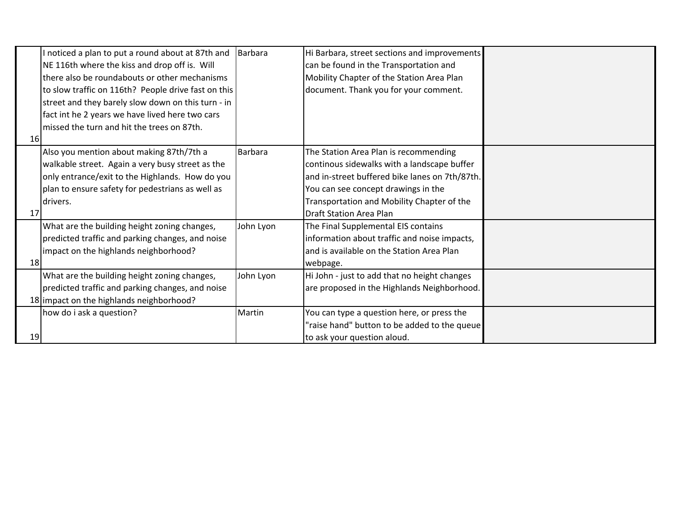|    | I noticed a plan to put a round about at 87th and   | Barbara        | Hi Barbara, street sections and improvements   |  |
|----|-----------------------------------------------------|----------------|------------------------------------------------|--|
|    | NE 116th where the kiss and drop off is. Will       |                | can be found in the Transportation and         |  |
|    | there also be roundabouts or other mechanisms       |                | Mobility Chapter of the Station Area Plan      |  |
|    | to slow traffic on 116th? People drive fast on this |                | document. Thank you for your comment.          |  |
|    | street and they barely slow down on this turn - in  |                |                                                |  |
|    | fact int he 2 years we have lived here two cars     |                |                                                |  |
|    | missed the turn and hit the trees on 87th.          |                |                                                |  |
| 16 |                                                     |                |                                                |  |
|    | Also you mention about making 87th/7th a            | <b>Barbara</b> | The Station Area Plan is recommending          |  |
|    | walkable street. Again a very busy street as the    |                | continous sidewalks with a landscape buffer    |  |
|    | only entrance/exit to the Highlands. How do you     |                | and in-street buffered bike lanes on 7th/87th. |  |
|    | plan to ensure safety for pedestrians as well as    |                | You can see concept drawings in the            |  |
|    | drivers.                                            |                | Transportation and Mobility Chapter of the     |  |
| 17 |                                                     |                | <b>Draft Station Area Plan</b>                 |  |
|    | What are the building height zoning changes,        | John Lyon      | The Final Supplemental EIS contains            |  |
|    | predicted traffic and parking changes, and noise    |                | information about traffic and noise impacts,   |  |
|    | impact on the highlands neighborhood?               |                | and is available on the Station Area Plan      |  |
| 18 |                                                     |                | webpage.                                       |  |
|    | What are the building height zoning changes,        | John Lyon      | Hi John - just to add that no height changes   |  |
|    | predicted traffic and parking changes, and noise    |                | are proposed in the Highlands Neighborhood.    |  |
|    | 18 impact on the highlands neighborhood?            |                |                                                |  |
|    | how do i ask a question?                            | Martin         | You can type a question here, or press the     |  |
|    |                                                     |                | "raise hand" button to be added to the queue   |  |
| 19 |                                                     |                | to ask your question aloud.                    |  |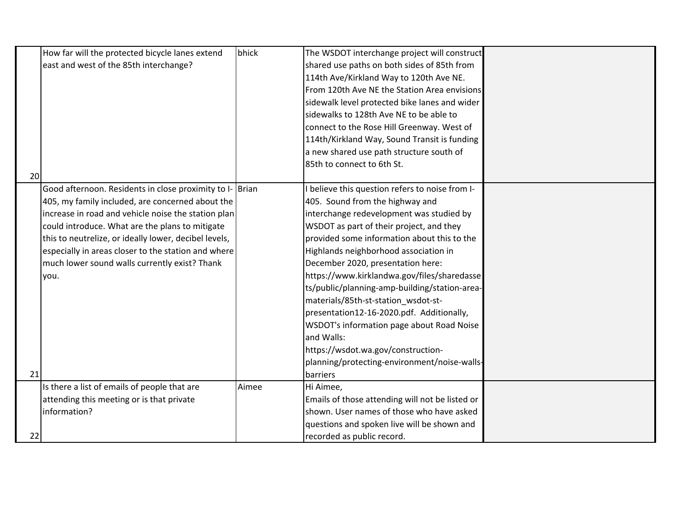|    | How far will the protected bicycle lanes extend          | bhick | The WSDOT interchange project will construct    |  |
|----|----------------------------------------------------------|-------|-------------------------------------------------|--|
|    | east and west of the 85th interchange?                   |       | shared use paths on both sides of 85th from     |  |
|    |                                                          |       | 114th Ave/Kirkland Way to 120th Ave NE.         |  |
|    |                                                          |       | From 120th Ave NE the Station Area envisions    |  |
|    |                                                          |       | sidewalk level protected bike lanes and wider   |  |
|    |                                                          |       | sidewalks to 128th Ave NE to be able to         |  |
|    |                                                          |       | connect to the Rose Hill Greenway. West of      |  |
|    |                                                          |       | 114th/Kirkland Way, Sound Transit is funding    |  |
|    |                                                          |       | a new shared use path structure south of        |  |
|    |                                                          |       | 85th to connect to 6th St.                      |  |
| 20 |                                                          |       |                                                 |  |
|    | Good afternoon. Residents in close proximity to I- Brian |       | believe this question refers to noise from I-   |  |
|    | 405, my family included, are concerned about the         |       | 405. Sound from the highway and                 |  |
|    | increase in road and vehicle noise the station plan      |       | interchange redevelopment was studied by        |  |
|    | could introduce. What are the plans to mitigate          |       | WSDOT as part of their project, and they        |  |
|    | this to neutrelize, or ideally lower, decibel levels,    |       | provided some information about this to the     |  |
|    | especially in areas closer to the station and where      |       | Highlands neighborhood association in           |  |
|    | much lower sound walls currently exist? Thank            |       | December 2020, presentation here:               |  |
|    | you.                                                     |       | https://www.kirklandwa.gov/files/sharedasse     |  |
|    |                                                          |       | ts/public/planning-amp-building/station-area-   |  |
|    |                                                          |       | materials/85th-st-station_wsdot-st-             |  |
|    |                                                          |       | presentation12-16-2020.pdf. Additionally,       |  |
|    |                                                          |       | WSDOT's information page about Road Noise       |  |
|    |                                                          |       | and Walls:                                      |  |
|    |                                                          |       | https://wsdot.wa.gov/construction-              |  |
|    |                                                          |       | planning/protecting-environment/noise-walls-    |  |
| 21 |                                                          |       | barriers                                        |  |
|    | Is there a list of emails of people that are             | Aimee | Hi Aimee,                                       |  |
|    | attending this meeting or is that private                |       | Emails of those attending will not be listed or |  |
|    | information?                                             |       | shown. User names of those who have asked       |  |
|    |                                                          |       | questions and spoken live will be shown and     |  |
| 22 |                                                          |       | recorded as public record.                      |  |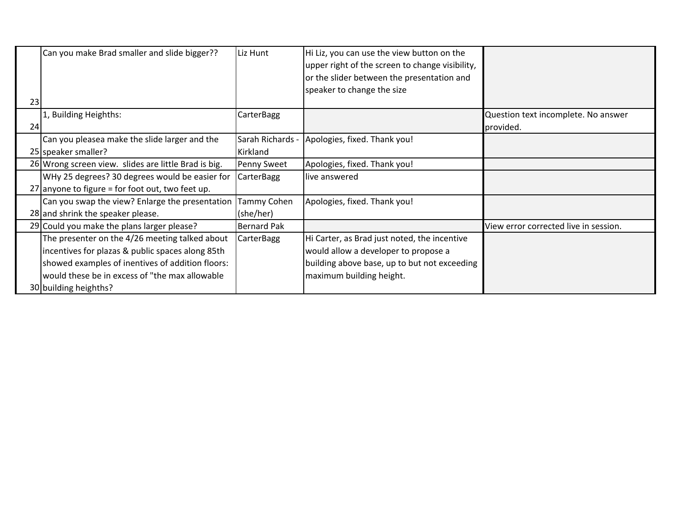|    | Can you make Brad smaller and slide bigger??         | Liz Hunt           | Hi Liz, you can use the view button on the<br>upper right of the screen to change visibility, |                                       |
|----|------------------------------------------------------|--------------------|-----------------------------------------------------------------------------------------------|---------------------------------------|
|    |                                                      |                    | or the slider between the presentation and                                                    |                                       |
|    |                                                      |                    | speaker to change the size                                                                    |                                       |
| 23 |                                                      |                    |                                                                                               |                                       |
|    | 1, Building Heighths:                                | CarterBagg         |                                                                                               | Question text incomplete. No answer   |
| 24 |                                                      |                    |                                                                                               | provided.                             |
|    | Can you pleasea make the slide larger and the        | Sarah Richards -   | Apologies, fixed. Thank you!                                                                  |                                       |
|    | 25 speaker smaller?                                  | Kirkland           |                                                                                               |                                       |
|    | 26 Wrong screen view. slides are little Brad is big. | <b>Penny Sweet</b> | Apologies, fixed. Thank you!                                                                  |                                       |
|    | WHy 25 degrees? 30 degrees would be easier for       | <b>CarterBagg</b>  | live answered                                                                                 |                                       |
|    | 27 anyone to figure = for foot out, two feet up.     |                    |                                                                                               |                                       |
|    | Can you swap the view? Enlarge the presentation      | Tammy Cohen        | Apologies, fixed. Thank you!                                                                  |                                       |
|    | 28 and shrink the speaker please.                    | (she/her)          |                                                                                               |                                       |
|    | 29 Could you make the plans larger please?           | <b>Bernard Pak</b> |                                                                                               | View error corrected live in session. |
|    | The presenter on the 4/26 meeting talked about       | <b>CarterBagg</b>  | Hi Carter, as Brad just noted, the incentive                                                  |                                       |
|    | incentives for plazas & public spaces along 85th     |                    | would allow a developer to propose a                                                          |                                       |
|    | showed examples of inentives of addition floors:     |                    | building above base, up to but not exceeding                                                  |                                       |
|    | would these be in excess of "the max allowable"      |                    | maximum building height.                                                                      |                                       |
|    | 30 building heighths?                                |                    |                                                                                               |                                       |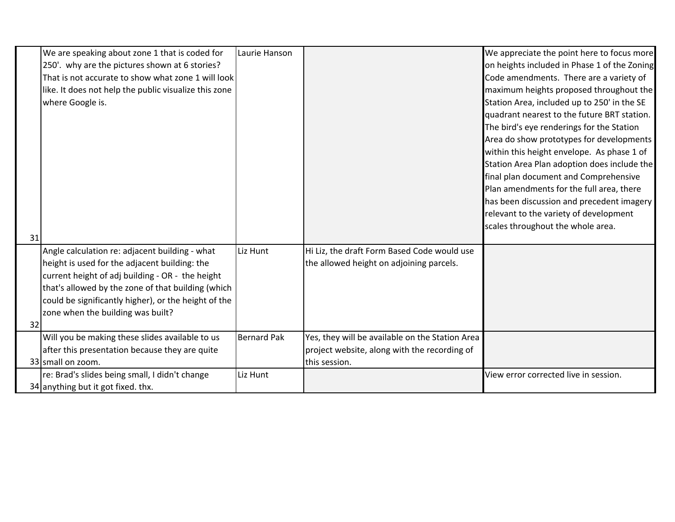|    | We are speaking about zone 1 that is coded for        | Laurie Hanson      |                                                 | We appreciate the point here to focus more   |
|----|-------------------------------------------------------|--------------------|-------------------------------------------------|----------------------------------------------|
|    | 250'. why are the pictures shown at 6 stories?        |                    |                                                 | on heights included in Phase 1 of the Zoning |
|    | That is not accurate to show what zone 1 will look    |                    |                                                 | Code amendments. There are a variety of      |
|    | like. It does not help the public visualize this zone |                    |                                                 | maximum heights proposed throughout the      |
|    | where Google is.                                      |                    |                                                 | Station Area, included up to 250' in the SE  |
|    |                                                       |                    |                                                 | quadrant nearest to the future BRT station.  |
|    |                                                       |                    |                                                 | The bird's eye renderings for the Station    |
|    |                                                       |                    |                                                 | Area do show prototypes for developments     |
|    |                                                       |                    |                                                 | within this height envelope. As phase 1 of   |
|    |                                                       |                    |                                                 | Station Area Plan adoption does include the  |
|    |                                                       |                    |                                                 | final plan document and Comprehensive        |
|    |                                                       |                    |                                                 | Plan amendments for the full area, there     |
|    |                                                       |                    |                                                 | has been discussion and precedent imagery    |
|    |                                                       |                    |                                                 | relevant to the variety of development       |
|    |                                                       |                    |                                                 | scales throughout the whole area.            |
| 31 |                                                       |                    |                                                 |                                              |
|    | Angle calculation re: adjacent building - what        | Liz Hunt           | Hi Liz, the draft Form Based Code would use     |                                              |
|    | height is used for the adjacent building: the         |                    | the allowed height on adjoining parcels.        |                                              |
|    | current height of adj building - OR - the height      |                    |                                                 |                                              |
|    | that's allowed by the zone of that building (which    |                    |                                                 |                                              |
|    | could be significantly higher), or the height of the  |                    |                                                 |                                              |
|    | zone when the building was built?                     |                    |                                                 |                                              |
| 32 |                                                       |                    |                                                 |                                              |
|    | Will you be making these slides available to us       | <b>Bernard Pak</b> | Yes, they will be available on the Station Area |                                              |
|    | after this presentation because they are quite        |                    | project website, along with the recording of    |                                              |
|    | 33 small on zoom.                                     |                    | this session.                                   |                                              |
|    | re: Brad's slides being small, I didn't change        | Liz Hunt           |                                                 | View error corrected live in session.        |
|    | 34 anything but it got fixed. thx.                    |                    |                                                 |                                              |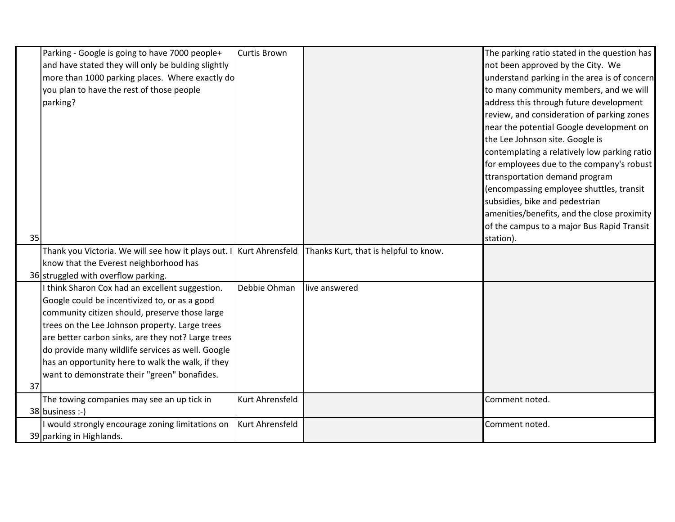|    | Parking - Google is going to have 7000 people+                      | Curtis Brown    |                                       | The parking ratio stated in the question has |
|----|---------------------------------------------------------------------|-----------------|---------------------------------------|----------------------------------------------|
|    | and have stated they will only be bulding slightly                  |                 |                                       | not been approved by the City. We            |
|    | more than 1000 parking places. Where exactly do                     |                 |                                       | understand parking in the area is of concern |
|    | you plan to have the rest of those people                           |                 |                                       | to many community members, and we will       |
|    | parking?                                                            |                 |                                       | address this through future development      |
|    |                                                                     |                 |                                       | review, and consideration of parking zones   |
|    |                                                                     |                 |                                       | near the potential Google development on     |
|    |                                                                     |                 |                                       | the Lee Johnson site. Google is              |
|    |                                                                     |                 |                                       | contemplating a relatively low parking ratio |
|    |                                                                     |                 |                                       | for employees due to the company's robust    |
|    |                                                                     |                 |                                       | ttransportation demand program               |
|    |                                                                     |                 |                                       | (encompassing employee shuttles, transit     |
|    |                                                                     |                 |                                       | subsidies, bike and pedestrian               |
|    |                                                                     |                 |                                       | amenities/benefits, and the close proximity  |
|    |                                                                     |                 |                                       | of the campus to a major Bus Rapid Transit   |
| 35 |                                                                     |                 |                                       | station).                                    |
|    | Thank you Victoria. We will see how it plays out. I Kurt Ahrensfeld |                 | Thanks Kurt, that is helpful to know. |                                              |
|    | know that the Everest neighborhood has                              |                 |                                       |                                              |
|    | 36 struggled with overflow parking.                                 |                 |                                       |                                              |
|    | I think Sharon Cox had an excellent suggestion.                     | Debbie Ohman    | live answered                         |                                              |
|    | Google could be incentivized to, or as a good                       |                 |                                       |                                              |
|    | community citizen should, preserve those large                      |                 |                                       |                                              |
|    | trees on the Lee Johnson property. Large trees                      |                 |                                       |                                              |
|    | are better carbon sinks, are they not? Large trees                  |                 |                                       |                                              |
|    | do provide many wildlife services as well. Google                   |                 |                                       |                                              |
|    | has an opportunity here to walk the walk, if they                   |                 |                                       |                                              |
|    | want to demonstrate their "green" bonafides.                        |                 |                                       |                                              |
| 37 |                                                                     |                 |                                       |                                              |
|    | The towing companies may see an up tick in                          | Kurt Ahrensfeld |                                       | Comment noted.                               |
|    | 38 business :-)                                                     |                 |                                       |                                              |
|    | I would strongly encourage zoning limitations on                    | Kurt Ahrensfeld |                                       | Comment noted.                               |
|    | 39 parking in Highlands.                                            |                 |                                       |                                              |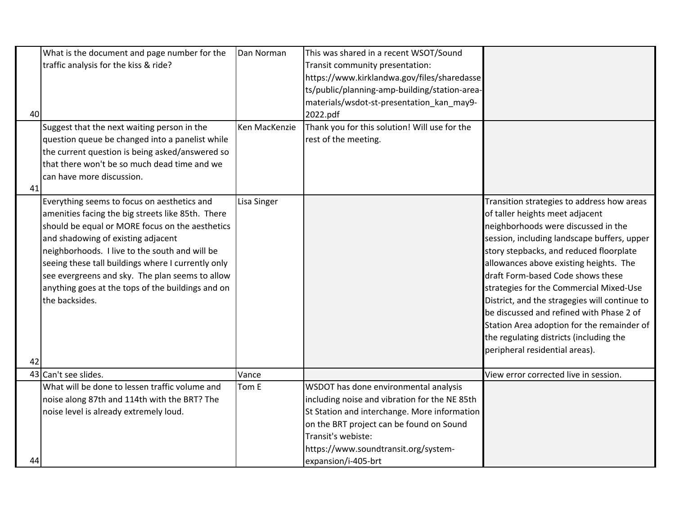|    | What is the document and page number for the       | Dan Norman    | This was shared in a recent WSOT/Sound        |                                               |
|----|----------------------------------------------------|---------------|-----------------------------------------------|-----------------------------------------------|
|    | traffic analysis for the kiss & ride?              |               | Transit community presentation:               |                                               |
|    |                                                    |               | https://www.kirklandwa.gov/files/sharedasse   |                                               |
|    |                                                    |               | ts/public/planning-amp-building/station-area- |                                               |
|    |                                                    |               | materials/wsdot-st-presentation kan may9-     |                                               |
| 40 |                                                    |               | 2022.pdf                                      |                                               |
|    | Suggest that the next waiting person in the        | Ken MacKenzie | Thank you for this solution! Will use for the |                                               |
|    | question queue be changed into a panelist while    |               | rest of the meeting.                          |                                               |
|    | the current question is being asked/answered so    |               |                                               |                                               |
|    | that there won't be so much dead time and we       |               |                                               |                                               |
|    | can have more discussion.                          |               |                                               |                                               |
| 41 |                                                    |               |                                               |                                               |
|    | Everything seems to focus on aesthetics and        | Lisa Singer   |                                               | Transition strategies to address how areas    |
|    | amenities facing the big streets like 85th. There  |               |                                               | of taller heights meet adjacent               |
|    | should be equal or MORE focus on the aesthetics    |               |                                               | neighborhoods were discussed in the           |
|    | and shadowing of existing adjacent                 |               |                                               | session, including landscape buffers, upper   |
|    | neighborhoods. I live to the south and will be     |               |                                               | story stepbacks, and reduced floorplate       |
|    | seeing these tall buildings where I currently only |               |                                               | allowances above existing heights. The        |
|    | see evergreens and sky. The plan seems to allow    |               |                                               | draft Form-based Code shows these             |
|    | anything goes at the tops of the buildings and on  |               |                                               | strategies for the Commercial Mixed-Use       |
|    | the backsides.                                     |               |                                               | District, and the stragegies will continue to |
|    |                                                    |               |                                               | be discussed and refined with Phase 2 of      |
|    |                                                    |               |                                               | Station Area adoption for the remainder of    |
|    |                                                    |               |                                               | the regulating districts (including the       |
|    |                                                    |               |                                               | peripheral residential areas).                |
| 42 |                                                    |               |                                               |                                               |
|    | 43 Can't see slides.                               | Vance         |                                               | View error corrected live in session.         |
|    | What will be done to lessen traffic volume and     | Tom E         | WSDOT has done environmental analysis         |                                               |
|    | noise along 87th and 114th with the BRT? The       |               | including noise and vibration for the NE 85th |                                               |
|    | noise level is already extremely loud.             |               | St Station and interchange. More information  |                                               |
|    |                                                    |               | on the BRT project can be found on Sound      |                                               |
|    |                                                    |               | Transit's webiste:                            |                                               |
|    |                                                    |               | https://www.soundtransit.org/system-          |                                               |
| 44 |                                                    |               | expansion/i-405-brt                           |                                               |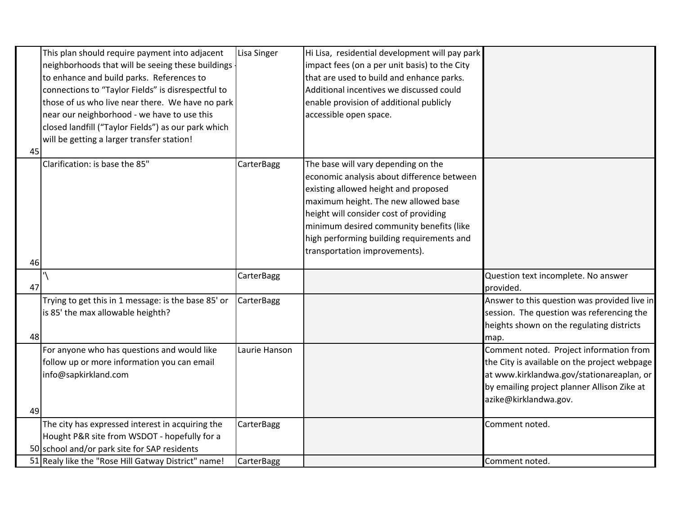|    | This plan should require payment into adjacent<br>neighborhoods that will be seeing these buildings | Lisa Singer   | Hi Lisa, residential development will pay park<br>impact fees (on a per unit basis) to the City |                                                  |
|----|-----------------------------------------------------------------------------------------------------|---------------|-------------------------------------------------------------------------------------------------|--------------------------------------------------|
|    | to enhance and build parks. References to                                                           |               | that are used to build and enhance parks.                                                       |                                                  |
|    | connections to "Taylor Fields" is disrespectful to                                                  |               | Additional incentives we discussed could                                                        |                                                  |
|    | those of us who live near there. We have no park                                                    |               | enable provision of additional publicly                                                         |                                                  |
|    | near our neighborhood - we have to use this                                                         |               | accessible open space.                                                                          |                                                  |
|    | closed landfill ("Taylor Fields") as our park which                                                 |               |                                                                                                 |                                                  |
|    | will be getting a larger transfer station!                                                          |               |                                                                                                 |                                                  |
| 45 |                                                                                                     |               |                                                                                                 |                                                  |
|    | Clarification: is base the 85"                                                                      | CarterBagg    | The base will vary depending on the                                                             |                                                  |
|    |                                                                                                     |               | economic analysis about difference between                                                      |                                                  |
|    |                                                                                                     |               | existing allowed height and proposed                                                            |                                                  |
|    |                                                                                                     |               | maximum height. The new allowed base                                                            |                                                  |
|    |                                                                                                     |               | height will consider cost of providing                                                          |                                                  |
|    |                                                                                                     |               | minimum desired community benefits (like                                                        |                                                  |
|    |                                                                                                     |               | high performing building requirements and                                                       |                                                  |
|    |                                                                                                     |               | transportation improvements).                                                                   |                                                  |
| 46 |                                                                                                     |               |                                                                                                 |                                                  |
| 47 |                                                                                                     | CarterBagg    |                                                                                                 | Question text incomplete. No answer<br>provided. |
|    | Trying to get this in 1 message: is the base 85' or                                                 | CarterBagg    |                                                                                                 | Answer to this question was provided live in     |
|    | is 85' the max allowable heighth?                                                                   |               |                                                                                                 | session. The question was referencing the        |
|    |                                                                                                     |               |                                                                                                 | heights shown on the regulating districts        |
| 48 |                                                                                                     |               |                                                                                                 | map.                                             |
|    | For anyone who has questions and would like                                                         | Laurie Hanson |                                                                                                 | Comment noted. Project information from          |
|    | follow up or more information you can email                                                         |               |                                                                                                 | the City is available on the project webpage     |
|    | info@sapkirkland.com                                                                                |               |                                                                                                 | at www.kirklandwa.gov/stationareaplan, or        |
|    |                                                                                                     |               |                                                                                                 | by emailing project planner Allison Zike at      |
|    |                                                                                                     |               |                                                                                                 | azike@kirklandwa.gov.                            |
| 49 |                                                                                                     |               |                                                                                                 |                                                  |
|    | The city has expressed interest in acquiring the                                                    | CarterBagg    |                                                                                                 | Comment noted.                                   |
|    | Hought P&R site from WSDOT - hopefully for a                                                        |               |                                                                                                 |                                                  |
|    | 50 school and/or park site for SAP residents                                                        |               |                                                                                                 |                                                  |
|    | 51 Realy like the "Rose Hill Gatway District" name!                                                 | CarterBagg    |                                                                                                 | Comment noted.                                   |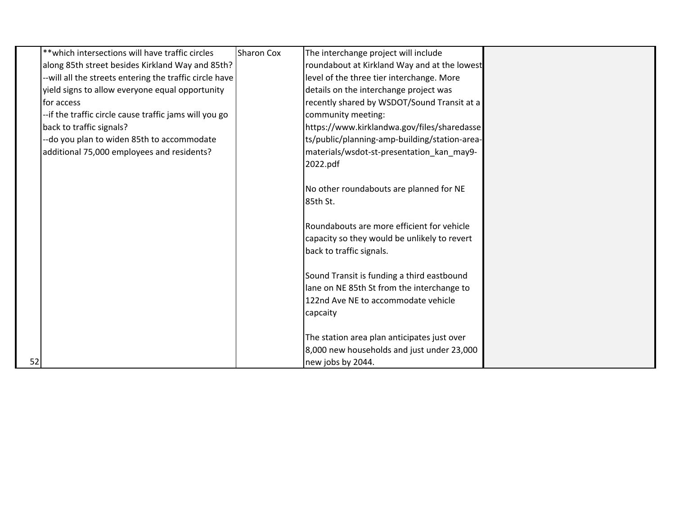|    | ** which intersections will have traffic circles        | <b>Sharon Cox</b> | The interchange project will include          |  |
|----|---------------------------------------------------------|-------------------|-----------------------------------------------|--|
|    | along 85th street besides Kirkland Way and 85th?        |                   | roundabout at Kirkland Way and at the lowest  |  |
|    | --will all the streets entering the traffic circle have |                   | level of the three tier interchange. More     |  |
|    | yield signs to allow everyone equal opportunity         |                   | details on the interchange project was        |  |
|    | lfor access                                             |                   | recently shared by WSDOT/Sound Transit at a   |  |
|    | --if the traffic circle cause traffic jams will you go  |                   | community meeting:                            |  |
|    | back to traffic signals?                                |                   | https://www.kirklandwa.gov/files/sharedasse   |  |
|    | --do you plan to widen 85th to accommodate              |                   | ts/public/planning-amp-building/station-area- |  |
|    | additional 75,000 employees and residents?              |                   | materials/wsdot-st-presentation_kan_may9-     |  |
|    |                                                         |                   | 2022.pdf                                      |  |
|    |                                                         |                   |                                               |  |
|    |                                                         |                   | No other roundabouts are planned for NE       |  |
|    |                                                         |                   | 85th St.                                      |  |
|    |                                                         |                   |                                               |  |
|    |                                                         |                   | Roundabouts are more efficient for vehicle    |  |
|    |                                                         |                   | capacity so they would be unlikely to revert  |  |
|    |                                                         |                   | back to traffic signals.                      |  |
|    |                                                         |                   |                                               |  |
|    |                                                         |                   | Sound Transit is funding a third eastbound    |  |
|    |                                                         |                   | lane on NE 85th St from the interchange to    |  |
|    |                                                         |                   | 122nd Ave NE to accommodate vehicle           |  |
|    |                                                         |                   | capcaity                                      |  |
|    |                                                         |                   |                                               |  |
|    |                                                         |                   | The station area plan anticipates just over   |  |
|    |                                                         |                   | 8,000 new households and just under 23,000    |  |
| 52 |                                                         |                   | new jobs by 2044.                             |  |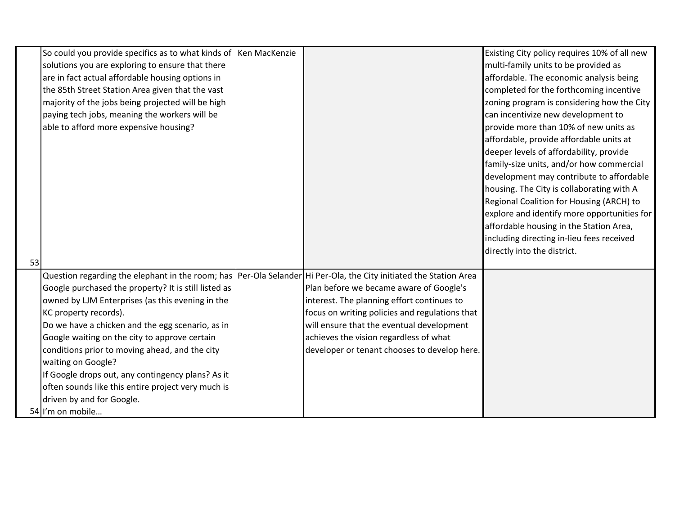|    | So could you provide specifics as to what kinds of Ken MacKenzie                                                  |                                                | Existing City policy requires 10% of all new |
|----|-------------------------------------------------------------------------------------------------------------------|------------------------------------------------|----------------------------------------------|
|    | solutions you are exploring to ensure that there                                                                  |                                                | multi-family units to be provided as         |
|    | are in fact actual affordable housing options in                                                                  |                                                | affordable. The economic analysis being      |
|    | the 85th Street Station Area given that the vast                                                                  |                                                | completed for the forthcoming incentive      |
|    | majority of the jobs being projected will be high                                                                 |                                                | zoning program is considering how the City   |
|    | paying tech jobs, meaning the workers will be                                                                     |                                                | can incentivize new development to           |
|    | able to afford more expensive housing?                                                                            |                                                | provide more than 10% of new units as        |
|    |                                                                                                                   |                                                | affordable, provide affordable units at      |
|    |                                                                                                                   |                                                | deeper levels of affordability, provide      |
|    |                                                                                                                   |                                                | family-size units, and/or how commercial     |
|    |                                                                                                                   |                                                | development may contribute to affordable     |
|    |                                                                                                                   |                                                | housing. The City is collaborating with A    |
|    |                                                                                                                   |                                                | Regional Coalition for Housing (ARCH) to     |
|    |                                                                                                                   |                                                | explore and identify more opportunities for  |
|    |                                                                                                                   |                                                | affordable housing in the Station Area,      |
|    |                                                                                                                   |                                                | including directing in-lieu fees received    |
|    |                                                                                                                   |                                                | directly into the district.                  |
| 53 |                                                                                                                   |                                                |                                              |
|    | Question regarding the elephant in the room; has Per-Ola Selander Hi Per-Ola, the City initiated the Station Area |                                                |                                              |
|    | Google purchased the property? It is still listed as                                                              | Plan before we became aware of Google's        |                                              |
|    | owned by LJM Enterprises (as this evening in the                                                                  | interest. The planning effort continues to     |                                              |
|    | KC property records).                                                                                             | focus on writing policies and regulations that |                                              |
|    | Do we have a chicken and the egg scenario, as in                                                                  | will ensure that the eventual development      |                                              |
|    | Google waiting on the city to approve certain                                                                     | achieves the vision regardless of what         |                                              |
|    | conditions prior to moving ahead, and the city                                                                    | developer or tenant chooses to develop here.   |                                              |
|    | waiting on Google?                                                                                                |                                                |                                              |
|    | If Google drops out, any contingency plans? As it                                                                 |                                                |                                              |
|    | often sounds like this entire project very much is                                                                |                                                |                                              |
|    | driven by and for Google.                                                                                         |                                                |                                              |
|    | 54 I'm on mobile                                                                                                  |                                                |                                              |